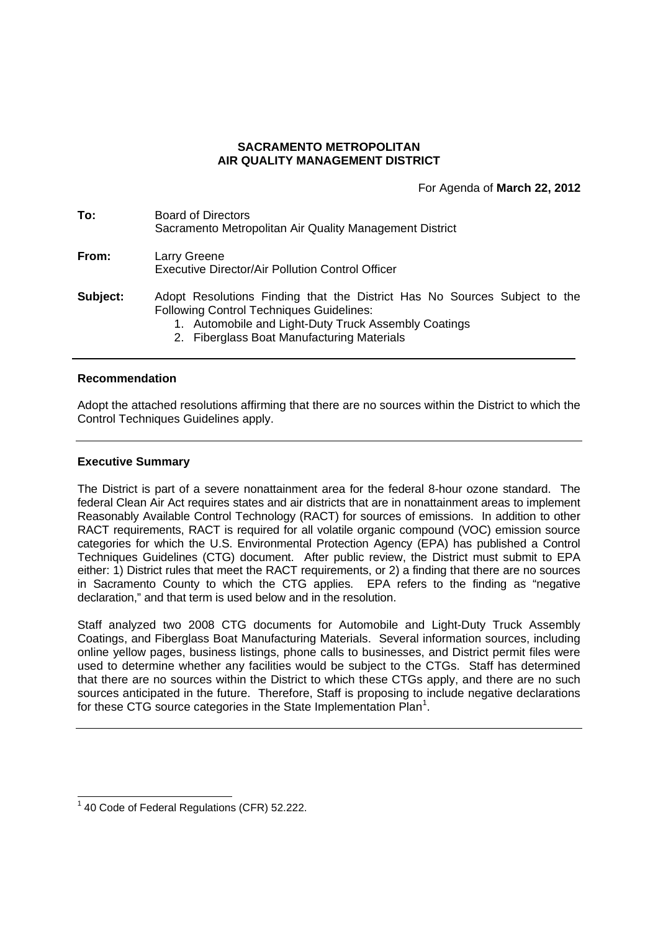## **SACRAMENTO METROPOLITAN AIR QUALITY MANAGEMENT DISTRICT**

For Agenda of **March 22, 2012**

| To:             | Board of Directors<br>Sacramento Metropolitan Air Quality Management District                                                |
|-----------------|------------------------------------------------------------------------------------------------------------------------------|
| From:           | Larry Greene<br>Executive Director/Air Pollution Control Officer                                                             |
| <b>Subject:</b> | Adopt Resolutions Finding that the District Has No Sources Subject to the<br><b>Following Control Techniques Guidelines:</b> |

- 1. Automobile and Light-Duty Truck Assembly Coatings
- 2. Fiberglass Boat Manufacturing Materials

#### **Recommendation**

Adopt the attached resolutions affirming that there are no sources within the District to which the Control Techniques Guidelines apply.

#### **Executive Summary**

The District is part of a severe nonattainment area for the federal 8-hour ozone standard. The federal Clean Air Act requires states and air districts that are in nonattainment areas to implement Reasonably Available Control Technology (RACT) for sources of emissions. In addition to other RACT requirements, RACT is required for all volatile organic compound (VOC) emission source categories for which the U.S. Environmental Protection Agency (EPA) has published a Control Techniques Guidelines (CTG) document. After public review, the District must submit to EPA either: 1) District rules that meet the RACT requirements, or 2) a finding that there are no sources in Sacramento County to which the CTG applies. EPA refers to the finding as "negative declaration," and that term is used below and in the resolution.

Staff analyzed two 2008 CTG documents for Automobile and Light-Duty Truck Assembly Coatings, and Fiberglass Boat Manufacturing Materials. Several information sources, including online yellow pages, business listings, phone calls to businesses, and District permit files were used to determine whether any facilities would be subject to the CTGs. Staff has determined that there are no sources within the District to which these CTGs apply, and there are no such sources anticipated in the future. Therefore, Staff is proposing to include negative declarations for these CTG source categories in the State Implementation Plan<sup>1</sup>.

<sup>&</sup>lt;sup>1</sup> 40 Code of Federal Regulations (CFR) 52.222.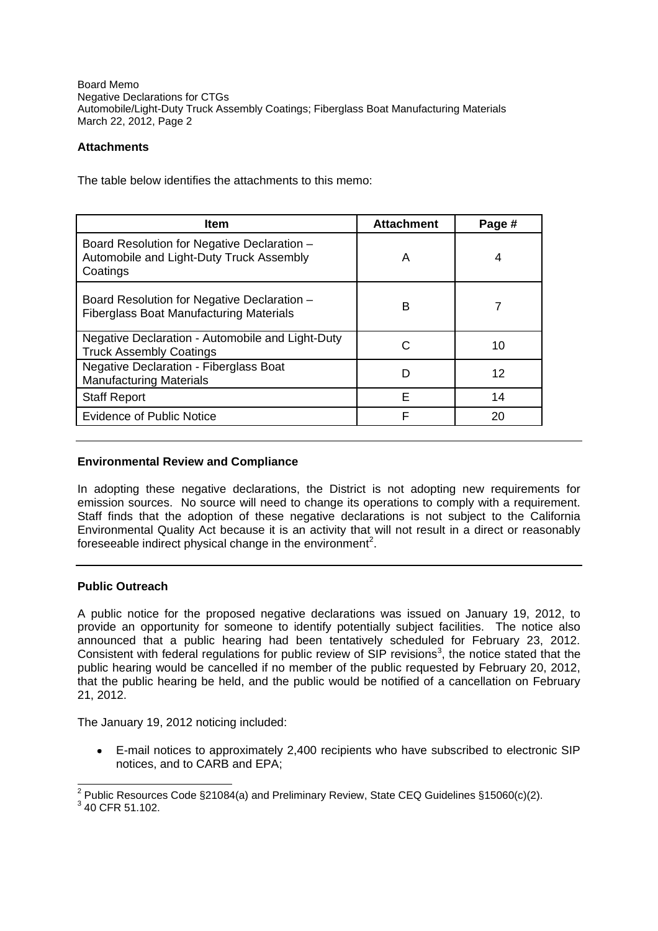Board Memo Negative Declarations for CTGs Automobile/Light-Duty Truck Assembly Coatings; Fiberglass Boat Manufacturing Materials March 22, 2012, Page 2

# **Attachments**

The table below identifies the attachments to this memo:

| <b>Item</b>                                                                                         | <b>Attachment</b> | Page # |
|-----------------------------------------------------------------------------------------------------|-------------------|--------|
| Board Resolution for Negative Declaration -<br>Automobile and Light-Duty Truck Assembly<br>Coatings | A                 | 4      |
| Board Resolution for Negative Declaration -<br><b>Fiberglass Boat Manufacturing Materials</b>       | B                 |        |
| Negative Declaration - Automobile and Light-Duty<br><b>Truck Assembly Coatings</b>                  | C                 | 10     |
| Negative Declaration - Fiberglass Boat<br><b>Manufacturing Materials</b>                            | D                 | 12     |
| <b>Staff Report</b>                                                                                 | F                 | 14     |
| <b>Evidence of Public Notice</b>                                                                    | F                 | 20     |

## **Environmental Review and Compliance**

In adopting these negative declarations, the District is not adopting new requirements for emission sources. No source will need to change its operations to comply with a requirement. Staff finds that the adoption of these negative declarations is not subject to the California Environmental Quality Act because it is an activity that will not result in a direct or reasonably foreseeable indirect physical change in the environment<sup>2</sup>.

### **Public Outreach**

A public notice for the proposed negative declarations was issued on January 19, 2012, to provide an opportunity for someone to identify potentially subject facilities. The notice also announced that a public hearing had been tentatively scheduled for February 23, 2012. Consistent with federal regulations for public review of SIP revisions<sup>3</sup>, the notice stated that the public hearing would be cancelled if no member of the public requested by February 20, 2012, that the public hearing be held, and the public would be notified of a cancellation on February 21, 2012.

The January 19, 2012 noticing included:

E-mail notices to approximately 2,400 recipients who have subscribed to electronic SIP  $\bullet$ notices, and to CARB and EPA;

 $2$  Public Resources Code §21084(a) and Preliminary Review, State CEQ Guidelines §15060(c)(2).

 $3$  40 CFR 51.102.